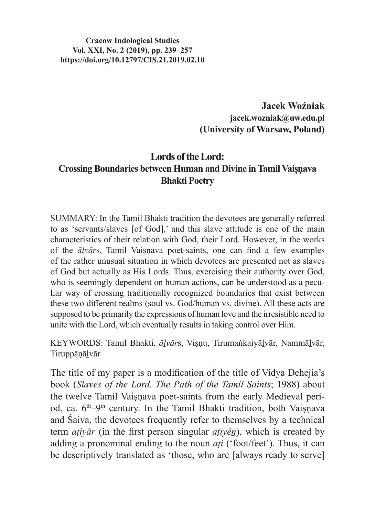**Cracow Indological Studies Vol. XXI, No. 2 (2019), pp. 239–257 https://doi.org/10.12797/CIS.21.2019.02.10**

> **Jacek Woźniak jacek.wozniak@uw.edu.pl (University of Warsaw, Poland)**

# **Lords of the Lord: Crossing Boundaries between Human and Divine in Tamil Vaiṣṇava Bhakti Poetry**

SUMMARY: In the Tamil Bhakti tradition the devotees are generally referred to as 'servants/slaves [of God],' and this slave attitude is one of the main characteristics of their relation with God, their Lord. However, in the works of the *āḻvār*s, Tamil Vaiṣṇava poet-saints, one can find a few examples of the rather unusual situation in which devotees are presented not as slaves of God but actually as His Lords. Thus, exercising their authority over God, who is seemingly dependent on human actions, can be understood as a peculiar way of crossing traditionally recognized boundaries that exist between these two different realms (soul vs. God/human vs. divine). All these acts are supposed to be primarily the expressions of human love and the irresistible need to unite with the Lord, which eventually results in taking control over Him.

KEYWORDS: Tamil Bhakti, *āḻvār*s, Viṣṇu, Tirumaṅkaiyāḻvār, Nammāḻvār, Tiruppāṇāḻvār

The title of my paper is a modification of the title of Vidya Dehejia's book (*Slaves of the Lord. The Path of the Tamil Saints*; 1988) about the twelve Tamil Vaisnava poet-saints from the early Medieval period, ca. 6<sup>th</sup>–9<sup>th</sup> century. In the Tamil Bhakti tradition, both Vaisnava and Śaiva, the devotees frequently refer to themselves by a technical term *aṭiyār* (in the first person singular *aṭiyēṉ*), which is created by adding a pronominal ending to the noun *aṭi* ('foot/feet'). Thus, it can be descriptively translated as 'those, who are [always ready to serve]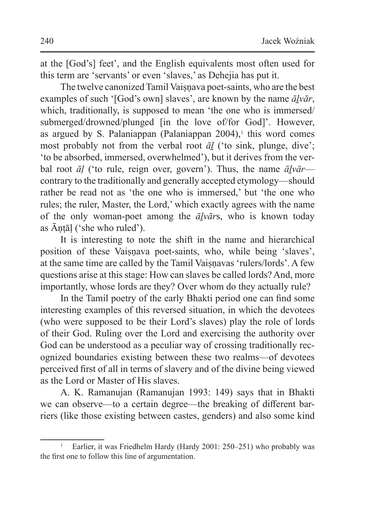at the [God's] feet', and the English equivalents most often used for this term are 'servants' or even 'slaves,' as Dehejia has put it.

The twelve canonized Tamil Vaisnava poet-saints, who are the best examples of such '[God's own] slaves', are known by the name *āḻvār*, which, traditionally, is supposed to mean 'the one who is immersed/ submerged/drowned/plunged [in the love of/for God]'. However, as argued by S. Palaniappan (Palaniappan  $2004$ ),<sup>1</sup> this word comes most probably not from the verbal root *āḻ* ('to sink, plunge, dive'; 'to be absorbed, immersed, overwhelmed'), but it derives from the verbal root *āḷ* ('to rule, reign over, govern'). Thus, the name *āḻvār* contrary to the traditionally and generally accepted etymology—should rather be read not as 'the one who is immersed,' but 'the one who rules; the ruler, Master, the Lord,' which exactly agrees with the name of the only woman-poet among the *āḻvār*s, who is known today as Āṇṭāḷ ('she who ruled').

It is interesting to note the shift in the name and hierarchical position of these Vaisnava poet-saints, who, while being 'slaves', at the same time are called by the Tamil Vaisnavas 'rulers/lords'. A few questions arise at this stage: How can slaves be called lords? And, more importantly, whose lords are they? Over whom do they actually rule?

In the Tamil poetry of the early Bhakti period one can find some interesting examples of this reversed situation, in which the devotees (who were supposed to be their Lord's slaves) play the role of lords of their God. Ruling over the Lord and exercising the authority over God can be understood as a peculiar way of crossing traditionally recognized boundaries existing between these two realms—of devotees perceived first of all in terms of slavery and of the divine being viewed as the Lord or Master of His slaves.

A. K. Ramanujan (Ramanujan 1993: 149) says that in Bhakti we can observe—to a certain degree—the breaking of different barriers (like those existing between castes, genders) and also some kind

<sup>&</sup>lt;sup>1</sup> Earlier, it was Friedhelm Hardy (Hardy 2001: 250–251) who probably was the first one to follow this line of argumentation.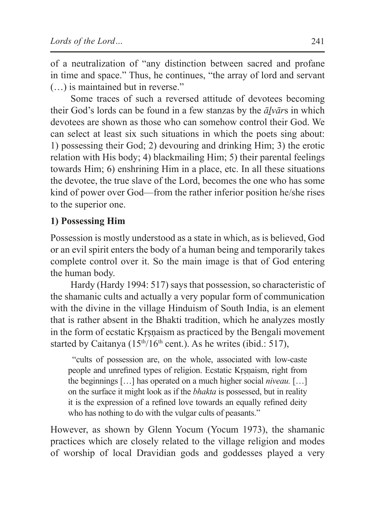of a neutralization of "any distinction between sacred and profane in time and space." Thus, he continues, "the array of lord and servant (…) is maintained but in reverse."

Some traces of such a reversed attitude of devotees becoming their God's lords can be found in a few stanzas by the *āḻvār*s in which devotees are shown as those who can somehow control their God. We can select at least six such situations in which the poets sing about: 1) possessing their God; 2) devouring and drinking Him; 3) the erotic relation with His body; 4) blackmailing Him; 5) their parental feelings towards Him; 6) enshrining Him in a place, etc. In all these situations the devotee, the true slave of the Lord, becomes the one who has some kind of power over God—from the rather inferior position he/she rises to the superior one.

## **1) Possessing Him**

Possession is mostly understood as a state in which, as is believed, God or an evil spirit enters the body of a human being and temporarily takes complete control over it. So the main image is that of God entering the human body.

Hardy (Hardy 1994: 517) says that possession, so characteristic of the shamanic cults and actually a very popular form of communication with the divine in the village Hinduism of South India, is an element that is rather absent in the Bhakti tradition, which he analyzes mostly in the form of ecstatic Kṛṣṇaism as practiced by the Bengali movement started by Caitanya  $(15<sup>th</sup>/16<sup>th</sup>$  cent.). As he writes (ibid.: 517),

 "cults of possession are, on the whole, associated with low-caste people and unrefined types of religion. Ecstatic Kṛṣṇaism, right from the beginnings […] has operated on a much higher social *niveau.* […] on the surface it might look as if the *bhakta* is possessed, but in reality it is the expression of a refined love towards an equally refined deity who has nothing to do with the vulgar cults of peasants."

However, as shown by Glenn Yocum (Yocum 1973), the shamanic practices which are closely related to the village religion and modes of worship of local Dravidian gods and goddesses played a very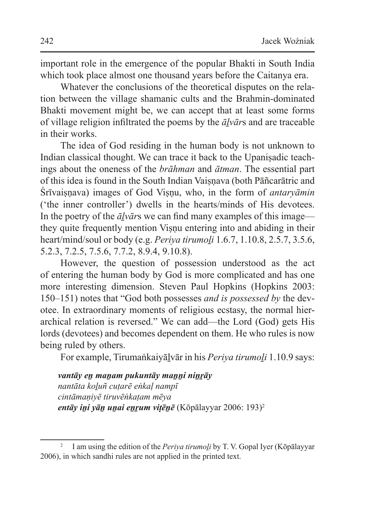important role in the emergence of the popular Bhakti in South India which took place almost one thousand years before the Caitanya era.

Whatever the conclusions of the theoretical disputes on the relation between the village shamanic cults and the Brahmin-dominated Bhakti movement might be, we can accept that at least some forms of village religion infiltrated the poems by the *āḻvār*s and are traceable in their works.

The idea of God residing in the human body is not unknown to Indian classical thought. We can trace it back to the Upaniṣadic teachings about the oneness of the *brāhman* and *ātman*. The essential part of this idea is found in the South Indian Vaisnava (both Pāñcarātric and Śrīvaiṣṇava) images of God Viṣṇu, who, in the form of *antaryāmin* ('the inner controller') dwells in the hearts/minds of His devotees. In the poetry of the *āḻvār*s we can find many examples of this image they quite frequently mention Visnu entering into and abiding in their heart/mind/soul or body (e.g. *Periya tirumoli* 1.6.7, 1.10.8, 2.5.7, 3.5.6, 5.2.3, 7.2.5, 7.5.6, 7.7.2, 8.9.4, 9.10.8).

However, the question of possession understood as the act of entering the human body by God is more complicated and has one more interesting dimension. Steven Paul Hopkins (Hopkins 2003: 150–151) notes that "God both possesses *and is possessed by* the devotee. In extraordinary moments of religious ecstasy, the normal hierarchical relation is reversed." We can add—the Lord (God) gets His lords (devotees) and becomes dependent on them. He who rules is now being ruled by others.

For example, Tirumaṅkaiyālvār in his *Periya tirumoli* 1.10.9 says:

*vantāy eṉ maṉam pukuntāy maṉṉi niṉṟāy nantāta koḻuñ cuṭarē eṅkaḷ nampī cintāmaṇiyē tiruvēṅkaṭam mēya entāy ini yān unai enrum vitēnē* (Kōpālayyar 2006: 193)<sup>2</sup>

<sup>&</sup>lt;sup>2</sup> I am using the edition of the *Periya tirumoli* by T. V. Gopal Iyer (Kōpālayyar 2006), in which sandhi rules are not applied in the printed text.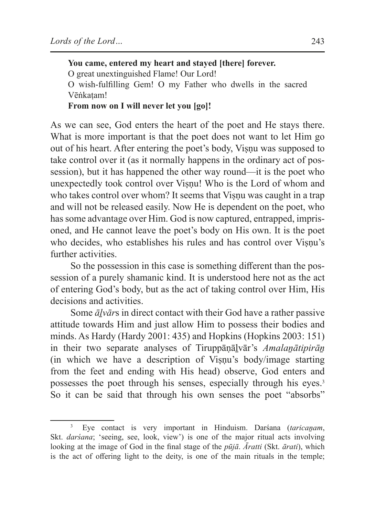**You came, entered my heart and stayed [there] forever.** O great unextinguished Flame! Our Lord! O wish-fulfilling Gem! O my Father who dwells in the sacred Vēṅkaṭam! **From now on I will never let you [go]!**

As we can see, God enters the heart of the poet and He stays there. What is more important is that the poet does not want to let Him go out of his heart. After entering the poet's body, Viṣṇu was supposed to take control over it (as it normally happens in the ordinary act of possession), but it has happened the other way round—it is the poet who unexpectedly took control over Visnu! Who is the Lord of whom and who takes control over whom? It seems that Viṣṇu was caught in a trap and will not be released easily. Now He is dependent on the poet, who has some advantage over Him. God is now captured, entrapped, imprisoned, and He cannot leave the poet's body on His own. It is the poet who decides, who establishes his rules and has control over Visnu's further activities.

So the possession in this case is something different than the possession of a purely shamanic kind. It is understood here not as the act of entering God's body, but as the act of taking control over Him, His decisions and activities.

Some *āḻvār*s in direct contact with their God have a rather passive attitude towards Him and just allow Him to possess their bodies and minds. As Hardy (Hardy 2001: 435) and Hopkins (Hopkins 2003: 151) in their two separate analyses of Tiruppāṇāḻvār's *Amalaṉātipirāṉ* (in which we have a description of Visnu's body/image starting from the feet and ending with His head) observe, God enters and possesses the poet through his senses, especially through his eyes.<sup>3</sup> So it can be said that through his own senses the poet "absorbs"

<sup>3</sup> Eye contact is very important in Hinduism. Darśana (*taricaṉam*, Skt. *darśana*; 'seeing, see, look, view') is one of the major ritual acts involving looking at the image of God in the final stage of the *pūjā*. *Āratti* (Skt. *ārati*), which is the act of offering light to the deity, is one of the main rituals in the temple;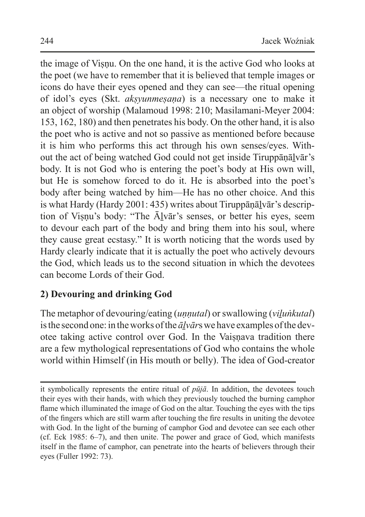the image of Visnu. On the one hand, it is the active God who looks at the poet (we have to remember that it is believed that temple images or icons do have their eyes opened and they can see—the ritual opening of idol's eyes (Skt. *akṣyunmeṣaṇa*) is a necessary one to make it an object of worship (Malamoud 1998: 210; Masilamani-Meyer 2004: 153, 162, 180) and then penetrates his body. On the other hand, it is also the poet who is active and not so passive as mentioned before because it is him who performs this act through his own senses/eyes. Without the act of being watched God could not get inside Tiruppāṇāḻvār's body. It is not God who is entering the poet's body at His own will, but He is somehow forced to do it. He is absorbed into the poet's body after being watched by him—He has no other choice. And this is what Hardy (Hardy 2001: 435) writes about Tiruppānālvār's description of Viṣṇu's body: "The Āḻvār's senses, or better his eyes, seem to devour each part of the body and bring them into his soul, where they cause great ecstasy." It is worth noticing that the words used by Hardy clearly indicate that it is actually the poet who actively devours the God, which leads us to the second situation in which the devotees can become Lords of their God.

# **2) Devouring and drinking God**

The metaphor of devouring/eating (*uṇṇutal*) or swallowing (*viḻuṅkutal*) isthe second one: in theworks ofthe *āḻvār*s we have examples ofthe devotee taking active control over God. In the Vaisnava tradition there are a few mythological representations of God who contains the whole world within Himself (in His mouth or belly). The idea of God-creator

it symbolically represents the entire ritual of *pūjā*. In addition, the devotees touch their eyes with their hands, with which they previously touched the burning camphor flame which illuminated the image of God on the altar. Touching the eyes with the tips of the fingers which are still warm after touching the fire results in uniting the devotee with God. In the light of the burning of camphor God and devotee can see each other (cf. Eck 1985: 6–7), and then unite. The power and grace of God, which manifests itself in the flame of camphor, can penetrate into the hearts of believers through their eyes (Fuller 1992: 73).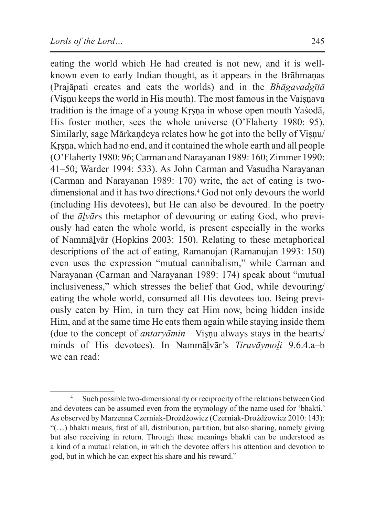eating the world which He had created is not new, and it is wellknown even to early Indian thought, as it appears in the Brāhmaṇas (Prajāpati creates and eats the worlds) and in the *Bhāgavadgītā* (Visnu keeps the world in His mouth). The most famous in the Vaisnava tradition is the image of a young Krsna in whose open mouth Yaśodā, His foster mother, sees the whole universe (O'Flaherty 1980: 95). Similarly, sage Mārkaṇḍeya relates how he got into the belly of Viṣṇu/ Krsna, which had no end, and it contained the whole earth and all people (O'Flaherty 1980: 96; Carman and Narayanan 1989: 160; Zimmer 1990: 41–50; Warder 1994: 533). As John Carman and Vasudha Narayanan (Carman and Narayanan 1989: 170) write, the act of eating is twodimensional and it has two directions.4 God not only devours the world (including His devotees), but He can also be devoured. In the poetry of the *āḻvār*s this metaphor of devouring or eating God, who previously had eaten the whole world, is present especially in the works of Nammāḻvār (Hopkins 2003: 150). Relating to these metaphorical descriptions of the act of eating, Ramanujan (Ramanujan 1993: 150) even uses the expression "mutual cannibalism," while Carman and Narayanan (Carman and Narayanan 1989: 174) speak about "mutual inclusiveness," which stresses the belief that God, while devouring/ eating the whole world, consumed all His devotees too. Being previously eaten by Him, in turn they eat Him now, being hidden inside Him, and at the same time He eats them again while staying inside them (due to the concept of *antaryāmin*—Viṣṇu always stays in the hearts/ minds of His devotees). In Nammāḻvār's *Tiruvāymoḻi* 9.6.4.a–b we can read:

<sup>4</sup> Such possible two-dimensionality or reciprocity of the relations between God and devotees can be assumed even from the etymology of the name used for 'bhakti.' As observed by Marzenna Czerniak-Drożdżowicz (Czerniak-Drożdżowicz 2010: 143): "(…) bhakti means, first of all, distribution, partition, but also sharing, namely giving but also receiving in return. Through these meanings bhakti can be understood as a kind of a mutual relation, in which the devotee offers his attention and devotion to god, but in which he can expect his share and his reward."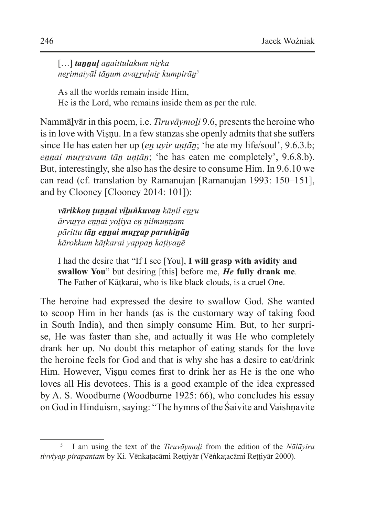[...] **tannul** anaittulakum nirka *neṟimaiyāl tāṉum avaṟṟuḷniṟ kumpirāṉ5*

As all the worlds remain inside Him, He is the Lord, who remains inside them as per the rule.

Nammāḻvār in this poem, i.e. *Tiruvāymoḻi* 9.6, presents the heroine who is in love with Visnu. In a few stanzas she openly admits that she suffers since He has eaten her up (*eṉ uyir uṇṭāṉ*; 'he ate my life/soul', 9.6.3.b; *ennai murravum tān untān*; 'he has eaten me completely', 9.6.8.b). But, interestingly, she also has the desire to consume Him. In 9.6.10 we can read (cf. translation by Ramanujan [Ramanujan 1993: 150–151], and by Clooney [Clooney 2014: 101]):

*vārikkoṇ ṭuṉṉai viḻuṅkuvaṉ kāṇil eṉṟu ārvuṟṟa eṉṉai yoḻiya eṉ ṉilmuṉṉam pārittu tāṉ eṉṉai muṟṟap parukiṉāṉ kārokkum kāṭkarai yappaṉ kaṭiyaṉē*

I had the desire that "If I see [You], **I will grasp with avidity and swallow You**" but desiring [this] before me, *He* **fully drank me**. The Father of Kāṭkarai, who is like black clouds, is a cruel One.

The heroine had expressed the desire to swallow God. She wanted to scoop Him in her hands (as is the customary way of taking food in South India), and then simply consume Him. But, to her surprise, He was faster than she, and actually it was He who completely drank her up. No doubt this metaphor of eating stands for the love the heroine feels for God and that is why she has a desire to eat/drink Him. However, Visnu comes first to drink her as He is the one who loves all His devotees. This is a good example of the idea expressed by A. S. Woodburne (Woodburne 1925: 66), who concludes his essay on God in Hinduism, saying: "The hymns of the Śaivite and Vaishṇavite

<sup>5</sup> I am using the text of the *Tiruvāymoḻi* from the edition of the *Nālāyira tivviyap pirapantam* by Ki. Vēṅkaṭacāmi Reṭṭiyār (Vēṅkaṭacāmi Reṭṭiyār 2000).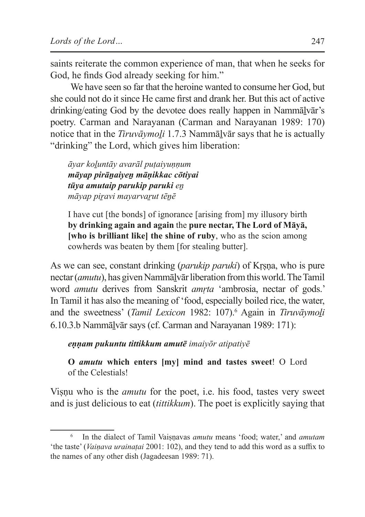saints reiterate the common experience of man, that when he seeks for God, he finds God already seeking for him."

We have seen so far that the heroine wanted to consume her God, but she could not do it since He came first and drank her. But this act of active drinking/eating God by the devotee does really happen in Nammālvār's poetry. Carman and Narayanan (Carman and Narayanan 1989: 170) notice that in the *Tiruvāymoli* 1.7.3 Nammālvār says that he is actually "drinking" the Lord, which gives him liberation:

*āyar koḻuntāy avarāl puṭaiyuṇṇum māyap pirāṉaiyeṉ māṇikkac cōtiyai tūya amutaip parukip paruki eṉ māyap piṟavi mayarvaṟut tēṉē*

I have cut [the bonds] of ignorance [arising from] my illusory birth **by drinking again and again** the **pure nectar, The Lord of Māyā, [who is brilliant like] the shine of ruby**, who as the scion among cowherds was beaten by them [for stealing butter].

As we can see, constant drinking *(parukip paruki)* of Krsna, who is pure nectar (*amutu*), has given Nammālvār liberation from this world. The Tamil word *amutu* derives from Sanskrit *amṛta* 'ambrosia, nectar of gods.' In Tamil it has also the meaning of 'food, especially boiled rice, the water, and the sweetness' (*Tamil Lexicon* 1982: 107).<sup>6</sup> Again in *Tiruvāymoli* 6.10.3.b Nammāḻvār says (cf. Carman and Narayanan 1989: 171):

*eṇṇam pukuntu tittikkum amutē imaiyōr atipatiyē*

**O** *amutu* **which enters [my] mind and tastes sweet**! O Lord of the Celestials!

Viṣṇu who is the *amutu* for the poet, i.e. his food, tastes very sweet and is just delicious to eat (*tittikkum*). The poet is explicitly saying that

<sup>6</sup> In the dialect of Tamil Vaiṣṇavas *amutu* means 'food; water,' and *amutam* 'the taste' (*Vaiṇava urainaṭai* 2001: 102), and they tend to add this word as a suffix to the names of any other dish (Jagadeesan 1989: 71).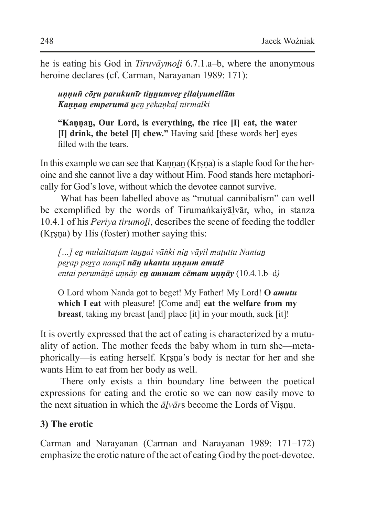he is eating his God in *Tiruvāymoli* 6.7.1.a–b, where the anonymous heroine declares (cf. Carman, Narayanan 1989: 171):

#### *uṇṇuñ cōṟu parukunīr tiṉṉumveṟ ṟilaiyumellām Kaṇṇaṉ emperumā ṉeṉ ṟēkaṇkaḷ nīrmalki*

**"Kaṇṇaṉ, Our Lord, is everything, the rice [I] eat, the water [I] drink, the betel [I] chew."** Having said [these words her] eyes filled with the tears.

In this example we can see that Kannan (Krsna) is a staple food for the heroine and she cannot live a day without Him. Food stands here metaphorically for God's love, without which the devotee cannot survive.

What has been labelled above as "mutual cannibalism" can well be exemplified by the words of Tirumaṅkaiyāḻvār, who, in stanza 10.4.1 of his *Periya tirumoḻi*, describes the scene of feeding the toddler (Kṛṣṇa) by His (foster) mother saying this:

*[…] eṉ mulaittaṭam taṉṉai vāṅki niṉ vāyil maṭuttu Nantaṉ peṟap peṟṟa nampī nāṉ ukantu uṇṇum amutē entai perumāṉē uṇṇāy eṉ ammam cēmam uṇṇāy* (10.4.1.b–d*)*

O Lord whom Nanda got to beget! My Father! My Lord! **O** *amutu* **which I eat** with pleasure! [Come and] **eat the welfare from my breast**, taking my breast [and] place [it] in your mouth, suck [it]!

It is overtly expressed that the act of eating is characterized by a mutuality of action. The mother feeds the baby whom in turn she—metaphorically—is eating herself. Kṛṣṇa's body is nectar for her and she wants Him to eat from her body as well.

There only exists a thin boundary line between the poetical expressions for eating and the erotic so we can now easily move to the next situation in which the  $\bar{a}lv\bar{a}rs$  become the Lords of Visnu.

# **3) The erotic**

Carman and Narayanan (Carman and Narayanan 1989: 171–172) emphasize the erotic nature of the act of eating God by the poet-devotee.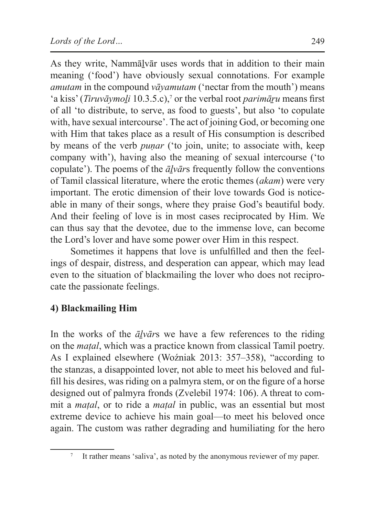As they write, Nammāḻvār uses words that in addition to their main meaning ('food') have obviously sexual connotations. For example *amutam* in the compound *vāyamutam* ('nectar from the mouth') means 'a kiss' (*Tiruvāymoḻi* 10.3.5.c),7 or the verbal root *parimāṟu* means first of all 'to distribute, to serve, as food to guests', but also 'to copulate with, have sexual intercourse'. The act of joining God, or becoming one with Him that takes place as a result of His consumption is described by means of the verb *puṇar* ('to join, unite; to associate with, keep company with'), having also the meaning of sexual intercourse ('to copulate'). The poems of the *āḻvār*s frequently follow the conventions of Tamil classical literature, where the erotic themes (*akam*) were very important. The erotic dimension of their love towards God is noticeable in many of their songs, where they praise God's beautiful body. And their feeling of love is in most cases reciprocated by Him. We can thus say that the devotee, due to the immense love, can become the Lord's lover and have some power over Him in this respect.

Sometimes it happens that love is unfulfilled and then the feelings of despair, distress, and desperation can appear, which may lead even to the situation of blackmailing the lover who does not reciprocate the passionate feelings.

# **4) Blackmailing Him**

In the works of the *āḻvār*s we have a few references to the riding on the *maṭal*, which was a practice known from classical Tamil poetry. As I explained elsewhere (Woźniak 2013: 357–358), "according to the stanzas, a disappointed lover, not able to meet his beloved and fulfill his desires, was riding on a palmyra stem, or on the figure of a horse designed out of palmyra fronds (Zvelebil 1974: 106). A threat to commit a *maṭal*, or to ride a *maṭal* in public, was an essential but most extreme device to achieve his main goal—to meet his beloved once again. The custom was rather degrading and humiliating for the hero

<sup>&</sup>lt;sup>7</sup> It rather means 'saliva', as noted by the anonymous reviewer of my paper.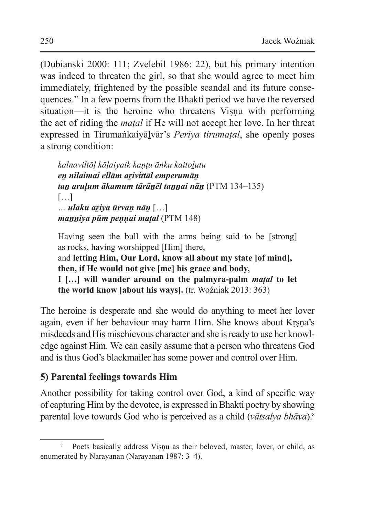(Dubianski 2000: 111; Zvelebil 1986: 22), but his primary intention was indeed to threaten the girl, so that she would agree to meet him immediately, frightened by the possible scandal and its future consequences." In a few poems from the Bhakti period we have the reversed situation—it is the heroine who threatens Visnu with performing the act of riding the *maṭal* if He will not accept her love. In her threat expressed in Tirumaṅkaiyāḻvār's *Periya tirumaṭal*, she openly poses a strong condition:

*kalnaviltōḷ kāḷaiyaik kaṇṭu āṅku kaitoḻutu eṉ nilaimai ellām aṟivittāl emperumāṉ taṉ aruḷum ākamum tārāṉēl taṉṉai nāṉ* (PTM 134–135) […] *… ulaku aṟiya ūrvaṉ nāṉ* […] *maṉṉiya pūm peṇṇai maṭal* (PTM 148)

Having seen the bull with the arms being said to be [strong] as rocks, having worshipped [Him] there, and **letting Him, Our Lord, know all about my state [of mind],**

**then, if He would not give [me] his grace and body,** 

**I […] will wander around on the palmyra-palm** *maṭal* **to let the world know [about his ways].** (tr. Woźniak 2013: 363)

The heroine is desperate and she would do anything to meet her lover again, even if her behaviour may harm Him. She knows about Krsna's misdeeds and His mischievous character and she is ready to use her knowledge against Him. We can easily assume that a person who threatens God and is thus God's blackmailer has some power and control over Him.

## **5) Parental feelings towards Him**

Another possibility for taking control over God, a kind of specific way of capturing Him by the devotee, is expressed in Bhakti poetry by showing parental love towards God who is perceived as a child (*vātsalya bhāva*).8

<sup>&</sup>lt;sup>8</sup> Poets basically address Viṣṇu as their beloved, master, lover, or child, as enumerated by Narayanan (Narayanan 1987: 3–4).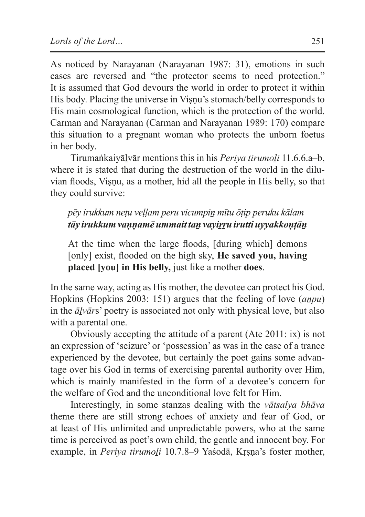As noticed by Narayanan (Narayanan 1987: 31), emotions in such cases are reversed and "the protector seems to need protection." It is assumed that God devours the world in order to protect it within His body. Placing the universe in Viṣṇu's stomach/belly corresponds to His main cosmological function, which is the protection of the world. Carman and Narayanan (Carman and Narayanan 1989: 170) compare this situation to a pregnant woman who protects the unborn foetus in her body.

Tirumaṅkaiyāḻvār mentions this in his *Periya tirumoḻi* 11.6.6.a–b, where it is stated that during the destruction of the world in the diluvian floods, Viṣṇu, as a mother, hid all the people in His belly, so that they could survive:

# *pēy irukkum neṭu veḷḷam peru vicumpiṉ mītu ōṭip peruku kālam tāy irukkum vaṇṇamē ummait taṉ vayiṟṟu irutti uyyakkoṇṭāṉ*

At the time when the large floods, [during which] demons [only] exist, flooded on the high sky, **He saved you, having placed [you] in His belly,** just like a mother **does**.

In the same way, acting as His mother, the devotee can protect his God. Hopkins (Hopkins 2003: 151) argues that the feeling of love *(anpu)* in the *āḻvār*s' poetry is associated not only with physical love, but also with a parental one.

Obviously accepting the attitude of a parent (Ate 2011: ix) is not an expression of 'seizure' or 'possession' as was in the case of a trance experienced by the devotee, but certainly the poet gains some advantage over his God in terms of exercising parental authority over Him, which is mainly manifested in the form of a devotee's concern for the welfare of God and the unconditional love felt for Him.

Interestingly, in some stanzas dealing with the *vātsalya bhāva* theme there are still strong echoes of anxiety and fear of God, or at least of His unlimited and unpredictable powers, who at the same time is perceived as poet's own child, the gentle and innocent boy. For example, in *Periya tirumoḻi* 10.7.8–9 Yaśodā, Kṛṣṇa's foster mother,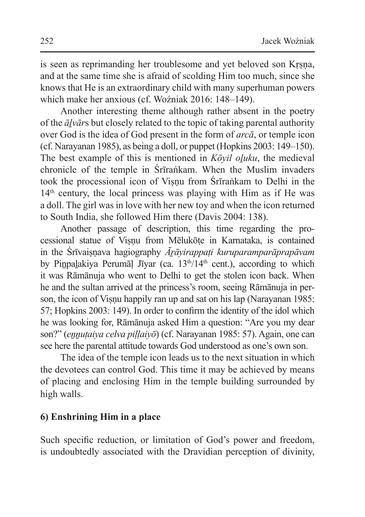is seen as reprimanding her troublesome and yet beloved son Krsna, and at the same time she is afraid of scolding Him too much, since she knows that He is an extraordinary child with many superhuman powers which make her anxious (cf. Woźniak 2016: 148–149).

Another interesting theme although rather absent in the poetry of the *āḻvār*s but closely related to the topic of taking parental authority over God is the idea of God present in the form of *arcā*, or temple icon (cf. Narayanan 1985), as being a doll, or puppet (Hopkins 2003: 149–150). The best example of this is mentioned in *Kōyil oḻuku*, the medieval chronicle of the temple in Śrīraṅkam. When the Muslim invaders took the processional icon of Viṣṇu from Śrīraṅkam to Delhi in the  $14<sup>th</sup>$  century, the local princess was playing with Him as if He was a doll. The girl was in love with her new toy and when the icon returned to South India, she followed Him there (Davis 2004: 138).

Another passage of description, this time regarding the processional statue of Viṣṇu from Mēlukōṭe in Karnataka, is contained in the Śrīvaiṣṇava hagiography *Āṟāyirappaṭi kuruparamparāprapāvam* by Pinpalakiya Perumāl Jīyar (ca.  $13<sup>th</sup>/14<sup>th</sup>$  cent.), according to which it was Rāmānuja who went to Delhi to get the stolen icon back. When he and the sultan arrived at the princess's room, seeing Rāmānuja in person, the icon of Visnu happily ran up and sat on his lap (Narayanan 1985: 57; Hopkins 2003: 149). In order to confirm the identity of the idol which he was looking for, Rāmānuja asked Him a question: "Are you my dear son?" (*eṉṉuṭaiya celva piḷḷaiyō*) (cf. Narayanan 1985: 57). Again, one can see here the parental attitude towards God understood as one's own son.

The idea of the temple icon leads us to the next situation in which the devotees can control God. This time it may be achieved by means of placing and enclosing Him in the temple building surrounded by high walls.

## **6) Enshrining Him in a place**

Such specific reduction, or limitation of God's power and freedom, is undoubtedly associated with the Dravidian perception of divinity,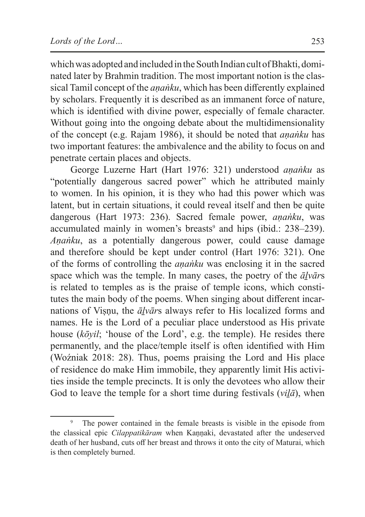which was adopted and included in the South Indian cult of Bhakti, dominated later by Brahmin tradition. The most important notion is the classical Tamil concept of the *ananku*, which has been differently explained by scholars. Frequently it is described as an immanent force of nature, which is identified with divine power, especially of female character. Without going into the ongoing debate about the multidimensionality of the concept (e.g. Rajam 1986), it should be noted that *aṇaṅku* has two important features: the ambivalence and the ability to focus on and penetrate certain places and objects.

George Luzerne Hart (Hart 1976: 321) understood *aṇaṅku* as "potentially dangerous sacred power" which he attributed mainly to women. In his opinion, it is they who had this power which was latent, but in certain situations, it could reveal itself and then be quite dangerous (Hart 1973: 236). Sacred female power, *aṇaṅku*, was accumulated mainly in women's breasts<sup>9</sup> and hips (ibid.: 238–239). *Aṇaṅku*, as a potentially dangerous power, could cause damage and therefore should be kept under control (Hart 1976: 321). One of the forms of controlling the *aṇaṅku* was enclosing it in the sacred space which was the temple. In many cases, the poetry of the *āḻvār*s is related to temples as is the praise of temple icons, which constitutes the main body of the poems. When singing about different incarnations of Viṣṇu, the *āḻvār*s always refer to His localized forms and names. He is the Lord of a peculiar place understood as His private house (*kōyil*; 'house of the Lord', e.g. the temple). He resides there permanently, and the place/temple itself is often identified with Him (Woźniak 2018: 28). Thus, poems praising the Lord and His place of residence do make Him immobile, they apparently limit His activities inside the temple precincts. It is only the devotees who allow their God to leave the temple for a short time during festivals (*viḻā*), when

<sup>&</sup>lt;sup>9</sup> The power contained in the female breasts is visible in the episode from the classical epic *Cilappatikāram* when Kaṇṇaki, devastated after the undeserved death of her husband, cuts off her breast and throws it onto the city of Maturai, which is then completely burned.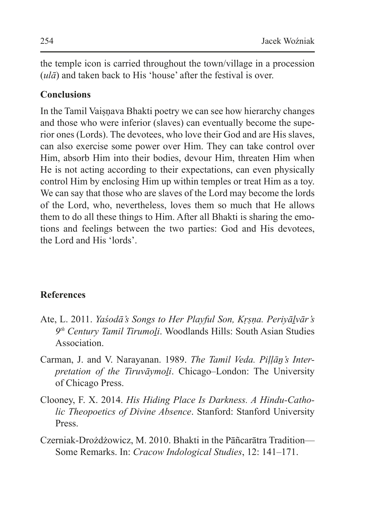the temple icon is carried throughout the town/village in a procession (*ulā*) and taken back to His 'house' after the festival is over.

## **Conclusions**

In the Tamil Vaisnava Bhakti poetry we can see how hierarchy changes and those who were inferior (slaves) can eventually become the superior ones (Lords). The devotees, who love their God and are His slaves, can also exercise some power over Him. They can take control over Him, absorb Him into their bodies, devour Him, threaten Him when He is not acting according to their expectations, can even physically control Him by enclosing Him up within temples or treat Him as a toy. We can say that those who are slaves of the Lord may become the lords of the Lord, who, nevertheless, loves them so much that He allows them to do all these things to Him. After all Bhakti is sharing the emotions and feelings between the two parties: God and His devotees, the Lord and His 'lords'.

## **References**

- Ate, L. 2011. *Yaśodā's Songs to Her Playful Son, Kṛṣṇa. Periyāḻvār's 9th Century Tamil Tirumoḻi*. Woodlands Hills: South Asian Studies Association.
- Carman, J. and V. Narayanan. 1989. *The Tamil Veda. Piḷḷāṉ's Interpretation of the Tiruvāymoḻi*. Chicago–London: The University of Chicago Press.
- Clooney, F. X. 2014. *His Hiding Place Is Darkness. A Hindu-Catholic Theopoetics of Divine Absence*. Stanford: Stanford University Press.
- Czerniak-Drożdżowicz, M. 2010. Bhakti in the Pāñcarātra Tradition— Some Remarks. In: *Cracow Indological Studies*, 12: 141–171.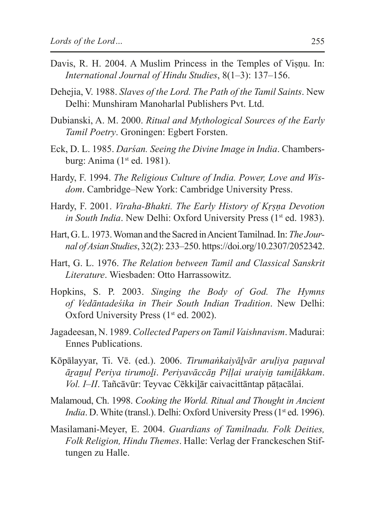- Davis, R. H. 2004. A Muslim Princess in the Temples of Visnu. In: *International Journal of Hindu Studies*, 8(1–3): 137–156.
- Dehejia, V. 1988. *Slaves of the Lord. The Path of the Tamil Saints*. New Delhi: Munshiram Manoharlal Publishers Pvt. Ltd.
- Dubianski, A. M. 2000. *Ritual and Mythological Sources of the Early Tamil Poetry*. Groningen: Egbert Forsten.
- Eck, D. L. 1985. *Darśan. Seeing the Divine Image in India*. Chambersburg: Anima (1<sup>st</sup> ed. 1981).
- Hardy, F. 1994. *The Religious Culture of India. Power, Love and Wisdom*. Cambridge–New York: Cambridge University Press.
- Hardy, F. 2001. *Viraha-Bhakti. The Early History of Kṛṣṇa Devotion in South India*. New Delhi: Oxford University Press (1<sup>st</sup> ed. 1983).
- Hart, G. L. 1973. Woman and theSacred inAncient Tamilnad. In: *The Journal ofAsian Studies*, 32(2): 233–250. https://doi.org/10.2307/2052342.
- Hart, G. L. 1976. *The Relation between Tamil and Classical Sanskrit Literature*. Wiesbaden: Otto Harrassowitz.
- Hopkins, S. P. 2003. *Singing the Body of God. The Hymns of Vedāntadeśika in Their South Indian Tradition*. New Delhi: Oxford University Press (1<sup>st</sup> ed. 2002).
- Jagadeesan, N. 1989. *Collected Papers on Tamil Vaishnavism*. Madurai: Ennes Publications.
- Kōpālayyar, Ti. Vē. (ed.). 2006. *Tirumaṅkaiyāḻvār aruḷiya paṉuval āṟaṉuḷ Periya tirumoḻi*. *Periyavāccāṉ Piḷḷai uraiyiṉ tamiḻākkam*. *Vol. I–II*. Tañcāvūr: Teyvac Cēkkiḻār caivacittāntap pāṭacālai.
- Malamoud, Ch. 1998. *Cooking the World. Ritual and Thought in Ancient India*. D. White (transl.). Delhi: Oxford University Press (1<sup>st</sup> ed. 1996).
- Masilamani-Meyer, E. 2004. *Guardians of Tamilnadu. Folk Deities, Folk Religion, Hindu Themes*. Halle: Verlag der Franckeschen Stiftungen zu Halle.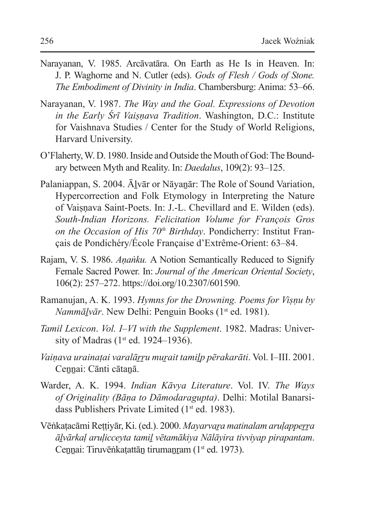- Narayanan, V. 1985. Arcāvatāra. On Earth as He Is in Heaven. In: J. P. Waghorne and N. Cutler (eds). *Gods of Flesh / Gods of Stone. The Embodiment of Divinity in India*. Chambersburg: Anima: 53–66.
- Narayanan, V. 1987. *The Way and the Goal. Expressions of Devotion in the Early Śrī Vaiṣṇava Tradition*. Washington, D.C.: Institute for Vaishnava Studies / Center for the Study of World Religions, Harvard University.
- O'Flaherty, W. D. 1980. Inside and Outside the Mouth of God: The Boundary between Myth and Reality. In: *Daedalus*, 109(2): 93–125.
- Palaniappan, S. 2004. Ālvār or Nāyanār: The Role of Sound Variation, Hypercorrection and Folk Etymology in Interpreting the Nature of Vaisnava Saint-Poets. In: J.-L. Chevillard and E. Wilden (eds). *South-Indian Horizons. Felicitation Volume for François Gros on the Occasion of His 70th Birthday*. Pondicherry: Institut Français de Pondichéry/École Française d'Extrême-Orient: 63–84.
- Rajam, V. S. 1986. *Aṇaṅku.* A Notion Semantically Reduced to Signify Female Sacred Power. In: *Journal of the American Oriental Society*, 106(2): 257–272. https://doi.org/10.2307/601590.
- Ramanujan, A. K. 1993. *Hymns for the Drowning. Poems for Viṣṇu by Nammālvār*. New Delhi: Penguin Books (1<sup>st</sup> ed. 1981).
- *Tamil Lexicon*. *Vol. I–VI with the Supplement*. 1982. Madras: University of Madras ( $1<sup>st</sup>$  ed. 1924–1936).
- *Vaiṇava urainaṭai varalāṟṟu muṟait tamiḻp pērakarāti*. Vol. I–III. 2001. Ceṉṉai: Cānti cātaṉā.
- Warder, A. K. 1994. *Indian Kāvya Literature*. Vol. IV. *The Ways of Originality (Bāṇa to Dāmodaragupta)*. Delhi: Motilal Banarsidass Publishers Private Limited (1<sup>st</sup> ed. 1983).
- Vēṅkaṭacāmi Reṭṭiyār, Ki. (ed.). 2000. *Mayarvaṟa matinalam aruḷappeṟṟa āḻvārkaḷ aruḷicceyta tamiḻ vētamākiya Nālāyira tivviyap pirapantam*. Cennai: Tiruvēṅkatattān tirumanram (1<sup>st</sup> ed. 1973).